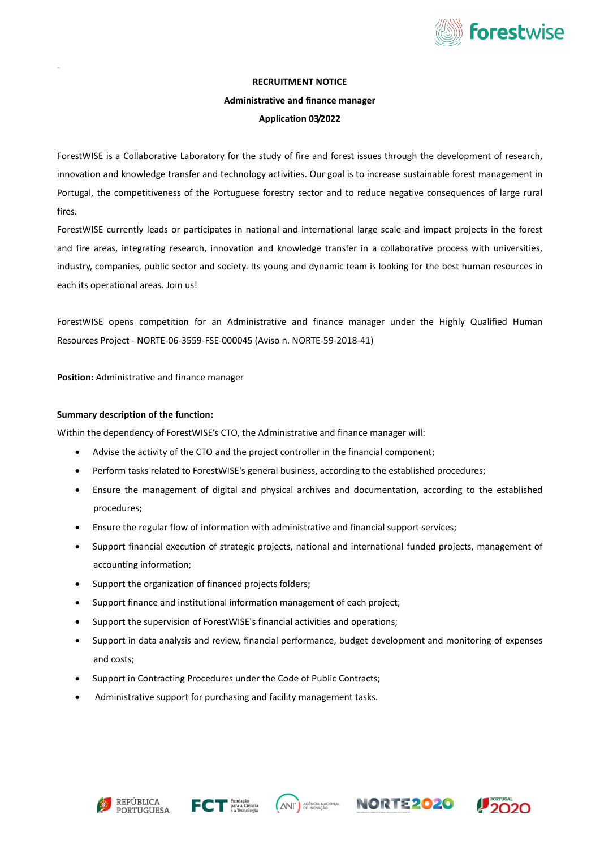

## RECRUITMENT NOTICE

## Administrative and finance manager

### Application 03/2022

ForestWISE is a Collaborative Laboratory for the study of fire and forest issues through the development of research, innovation and knowledge transfer and technology activities. Our goal is to increase sustainable forest management in Portugal, the competitiveness of the Portuguese forestry sector and to reduce negative consequences of large rural fires.

ForestWISE currently leads or participates in national and international large scale and impact projects in the forest and fire areas, integrating research, innovation and knowledge transfer in a collaborative process with universities, industry, companies, public sector and society. Its young and dynamic team is looking for the best human resources in each its operational areas. Join us!

ForestWISE opens competition for an Administrative and finance manager under the Highly Qualified Human Resources Project - NORTE-06-3559-FSE-000045 (Aviso n. NORTE-59-2018-41)

Position: Administrative and finance manager

#### Summary description of the function:

Within the dependency of ForestWISE's CTO, the Administrative and finance manager will:

- Advise the activity of the CTO and the project controller in the financial component;
- Perform tasks related to ForestWISE's general business, according to the established procedures;
- Ensure the management of digital and physical archives and documentation, according to the established procedures;
- Ensure the regular flow of information with administrative and financial support services;
- Support financial execution of strategic projects, national and international funded projects, management of accounting information;
- Support the organization of financed projects folders;
- Support finance and institutional information management of each project;
- Support the supervision of ForestWISE's financial activities and operations;
- Support in data analysis and review, financial performance, budget development and monitoring of expenses and costs;
- Support in Contracting Procedures under the Code of Public Contracts;
- Administrative support for purchasing and facility management tasks.











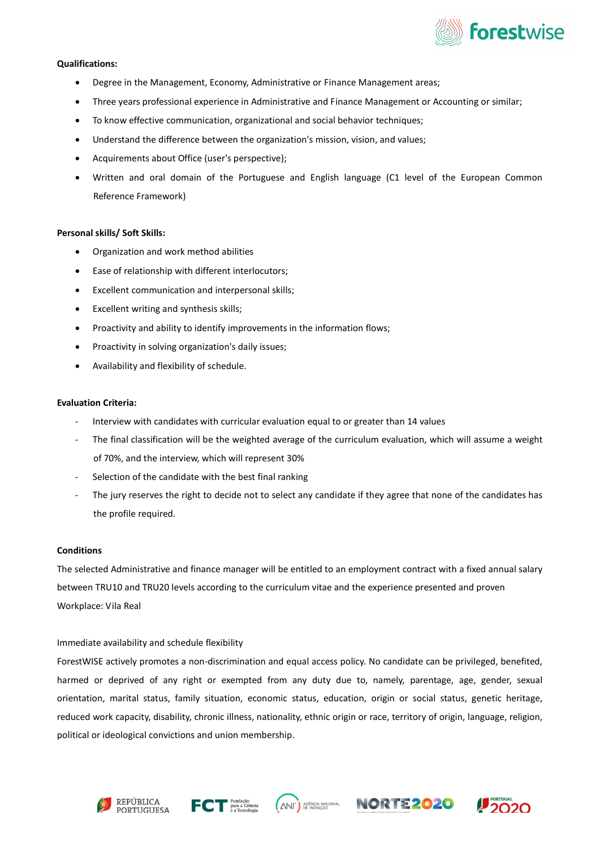

## Qualifications:

- Degree in the Management, Economy, Administrative or Finance Management areas;
- Three years professional experience in Administrative and Finance Management or Accounting or similar;
- To know effective communication, organizational and social behavior techniques;
- Understand the difference between the organization's mission, vision, and values;
- Acquirements about Office (user's perspective);
- Written and oral domain of the Portuguese and English language (C1 level of the European Common Reference Framework)

#### Personal skills/ Soft Skills:

- Organization and work method abilities
- Ease of relationship with different interlocutors;
- Excellent communication and interpersonal skills;
- Excellent writing and synthesis skills;
- Proactivity and ability to identify improvements in the information flows;
- Proactivity in solving organization's daily issues;
- Availability and flexibility of schedule.

## Evaluation Criteria:

- Interview with candidates with curricular evaluation equal to or greater than 14 values
- The final classification will be the weighted average of the curriculum evaluation, which will assume a weight of 70%, and the interview, which will represent 30%
- Selection of the candidate with the best final ranking
- The jury reserves the right to decide not to select any candidate if they agree that none of the candidates has the profile required.

#### **Conditions**

The selected Administrative and finance manager will be entitled to an employment contract with a fixed annual salary between TRU10 and TRU20 levels according to the curriculum vitae and the experience presented and proven Workplace: Vila Real

## Immediate availability and schedule flexibility

ForestWISE actively promotes a non-discrimination and equal access policy. No candidate can be privileged, benefited, harmed or deprived of any right or exempted from any duty due to, namely, parentage, age, gender, sexual orientation, marital status, family situation, economic status, education, origin or social status, genetic heritage, reduced work capacity, disability, chronic illness, nationality, ethnic origin or race, territory of origin, language, religion, political or ideological convictions and union membership.